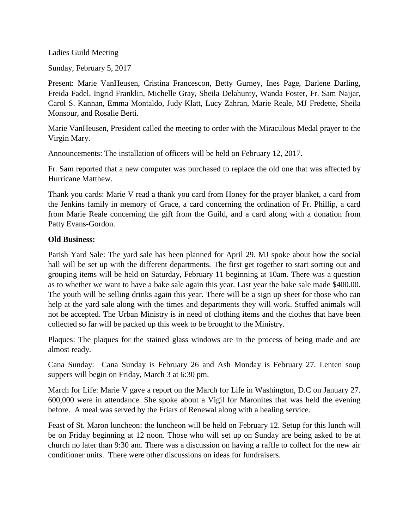Ladies Guild Meeting

Sunday, February 5, 2017

Present: Marie VanHeusen, Cristina Francescon, Betty Gurney, Ines Page, Darlene Darling, Freida Fadel, Ingrid Franklin, Michelle Gray, Sheila Delahunty, Wanda Foster, Fr. Sam Najjar, Carol S. Kannan, Emma Montaldo, Judy Klatt, Lucy Zahran, Marie Reale, MJ Fredette, Sheila Monsour, and Rosalie Berti.

Marie VanHeusen, President called the meeting to order with the Miraculous Medal prayer to the Virgin Mary.

Announcements: The installation of officers will be held on February 12, 2017.

Fr. Sam reported that a new computer was purchased to replace the old one that was affected by Hurricane Matthew.

Thank you cards: Marie V read a thank you card from Honey for the prayer blanket, a card from the Jenkins family in memory of Grace, a card concerning the ordination of Fr. Phillip, a card from Marie Reale concerning the gift from the Guild, and a card along with a donation from Patty Evans-Gordon.

## **Old Business:**

Parish Yard Sale: The yard sale has been planned for April 29. MJ spoke about how the social hall will be set up with the different departments. The first get together to start sorting out and grouping items will be held on Saturday, February 11 beginning at 10am. There was a question as to whether we want to have a bake sale again this year. Last year the bake sale made \$400.00. The youth will be selling drinks again this year. There will be a sign up sheet for those who can help at the yard sale along with the times and departments they will work. Stuffed animals will not be accepted. The Urban Ministry is in need of clothing items and the clothes that have been collected so far will be packed up this week to be brought to the Ministry.

Plaques: The plaques for the stained glass windows are in the process of being made and are almost ready.

Cana Sunday: Cana Sunday is February 26 and Ash Monday is February 27. Lenten soup suppers will begin on Friday, March 3 at 6:30 pm.

March for Life: Marie V gave a report on the March for Life in Washington, D.C on January 27. 600,000 were in attendance. She spoke about a Vigil for Maronites that was held the evening before. A meal was served by the Friars of Renewal along with a healing service.

Feast of St. Maron luncheon: the luncheon will be held on February 12. Setup for this lunch will be on Friday beginning at 12 noon. Those who will set up on Sunday are being asked to be at church no later than 9:30 am. There was a discussion on having a raffle to collect for the new air conditioner units. There were other discussions on ideas for fundraisers.